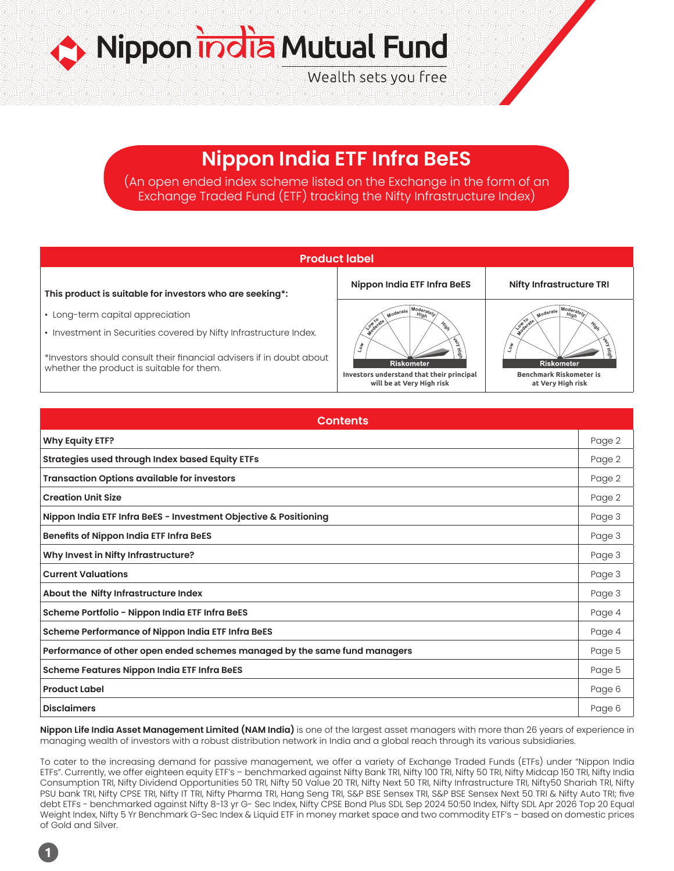Nippon india Mutual Fund Wealth sets you free

# **Nippon India ETF Infra BeES**

(An open ended index scheme listed on the Exchange in the form of an Exchange Traded Fund (ETF) tracking the Nifty Infrastructure Index)

| <b>Product label</b>                                                                                                                                                                   |                                                                        |                                                     |  |  |  |
|----------------------------------------------------------------------------------------------------------------------------------------------------------------------------------------|------------------------------------------------------------------------|-----------------------------------------------------|--|--|--|
| This product is suitable for investors who are seeking*:                                                                                                                               | Nippon India ETF Infra BeES                                            | <b>Nifty Infrastructure TRI</b>                     |  |  |  |
| • Long-term capital appreciation                                                                                                                                                       | Moderate<br>High<br>Low to ate<br>Hig <sub>s</sub>                     | Woderate<br>High<br>Mig                             |  |  |  |
| • Investment in Securities covered by Nifty Infrastructure Index.<br>*Investors should consult their financial advisers if in doubt about<br>whether the product is suitable for them. | ۹g<br>کا<br>$\mathcal{L}_{0\mu}$<br>吾<br><b>Riskometer</b>             | $\sqrt{2}$<br><b>Riskometer</b>                     |  |  |  |
|                                                                                                                                                                                        | Investors understand that their principal<br>will be at Very High risk | <b>Benchmark Riskometer is</b><br>at Very High risk |  |  |  |

| <b>Contents</b>                                                           |        |  |  |
|---------------------------------------------------------------------------|--------|--|--|
| <b>Why Equity ETF?</b>                                                    | Page 2 |  |  |
| <b>Strategies used through Index based Equity ETFs</b>                    | Page 2 |  |  |
| <b>Transaction Options available for investors</b>                        | Page 2 |  |  |
| <b>Creation Unit Size</b>                                                 | Page 2 |  |  |
| Nippon India ETF Infra BeES - Investment Objective & Positioning          | Page 3 |  |  |
| <b>Benefits of Nippon India ETF Infra BeES</b>                            | Page 3 |  |  |
| Why Invest in Nifty Infrastructure?                                       | Page 3 |  |  |
| <b>Current Valuations</b>                                                 | Page 3 |  |  |
| About the Nifty Infrastructure Index                                      | Page 3 |  |  |
| Scheme Portfolio - Nippon India ETF Infra BeES                            | Page 4 |  |  |
| Scheme Performance of Nippon India ETF Infra BeES                         | Page 4 |  |  |
| Performance of other open ended schemes managed by the same fund managers | Page 5 |  |  |
| <b>Scheme Features Nippon India ETF Infra BeES</b>                        | Page 5 |  |  |
| <b>Product Label</b>                                                      | Page 6 |  |  |
| <b>Disclaimers</b>                                                        | Page 6 |  |  |

**Nippon Life India Asset Management Limited (NAM India)** is one of the largest asset managers with more than 26 years of experience in managing wealth of investors with a robust distribution network in India and a global reach through its various subsidiaries.

To cater to the increasing demand for passive management, we offer a variety of Exchange Traded Funds (ETFs) under "Nippon India ETFs". Currently, we offer eighteen equity ETF's – benchmarked against Nifty Bank TRI, Nifty 100 TRI, Nifty 50 TRI, Nifty Midcap 150 TRI, Nifty India Consumption TRI, Nifty Dividend Opportunities 50 TRI, Nifty 50 Value 20 TRI, Nifty Next 50 TRI, Nifty Infrastructure TRI, Nifty50 Shariah TRI, Nifty PSU bank TRI, Nifty CPSE TRI, Nifty IT TRI, Nifty Pharma TRI, Hang Seng TRI, S&P BSE Sensex TRI, S&P BSE Sensex Next 50 TRI & Nifty Auto TRI; five debt ETFs - benchmarked against Nifty 8-13 yr G- Sec Index, Nifty CPSE Bond Plus SDL Sep 2024 50:50 Index, Nifty SDL Apr 2026 Top 20 Equal Weight Index, Nifty 5 Yr Benchmark G-Sec Index & Liquid ETF in money market space and two commodity ETF's – based on domestic prices of Gold and Silver.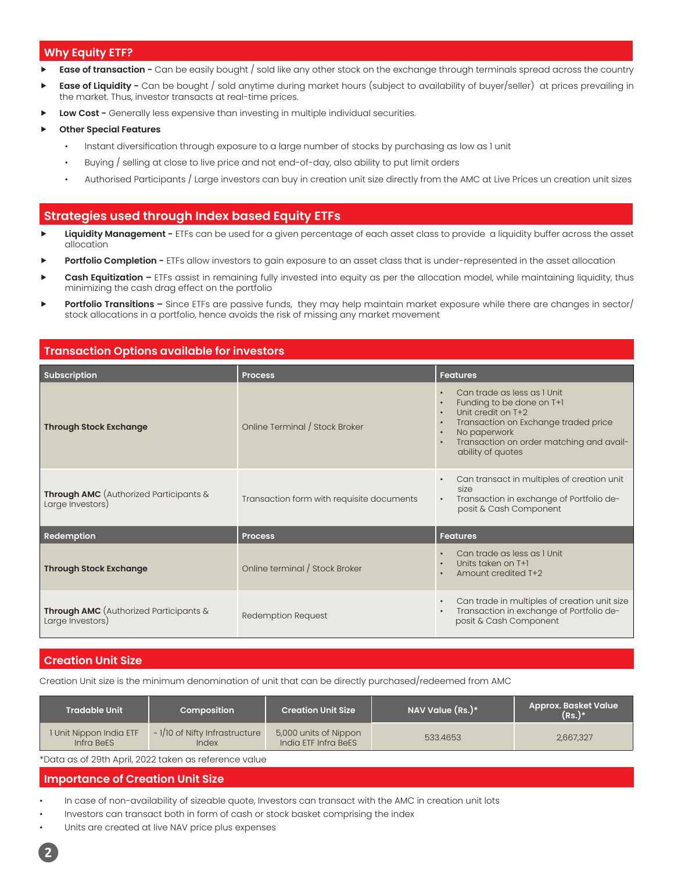# **Why Equity ETF?**

- **Ease of transaction -** Can be easily bought / sold like any other stock on the exchange through terminals spread across the country
- **Ease of Liquidity -** Can be bought / sold anytime during market hours (subject to availability of buyer/seller) at prices prevailing in the market. Thus, investor transacts at real-time prices.
- **Low Cost -** Generally less expensive than investing in multiple individual securities.
- **Other Special Features** 
	- Instant diversification through exposure to a large number of stocks by purchasing as low as 1 unit
	- Buying / selling at close to live price and not end-of-day, also ability to put limit orders
	- Authorised Participants / Large investors can buy in creation unit size directly from the AMC at Live Prices un creation unit sizes

# **Strategies used through Index based Equity ETFs**

- Liquidity Management ETFs can be used for a given percentage of each asset class to provide a liquidity buffer across the asset allocation
- Portfolio Completion ETFs allow investors to gain exposure to an asset class that is under-represented in the asset allocation
- Cash Equitization ETFs assist in remaining fully invested into equity as per the allocation model, while maintaining liquidity, thus minimizing the cash drag effect on the portfolio
- **Portfolio Transitions –** Since ETFs are passive funds, they may help maintain market exposure while there are changes in sector/ stock allocations in a portfolio, hence avoids the risk of missing any market movement

# **Transaction Options available for investors**

| <b>Subscription</b>                                                  | <b>Process</b>                            | <b>Features</b>                                                                                                                                                                                                                                                                       |
|----------------------------------------------------------------------|-------------------------------------------|---------------------------------------------------------------------------------------------------------------------------------------------------------------------------------------------------------------------------------------------------------------------------------------|
| <b>Through Stock Exchange</b>                                        | Online Terminal / Stock Broker            | Can trade as less as I Unit<br>$\bullet$<br>Funding to be done on T+1<br>$\bullet$<br>Unit credit on T+2<br>$\bullet$<br>Transaction on Exchange traded price<br>$\bullet$<br>No paperwork<br>$\bullet$<br>Transaction on order matching and avail-<br>$\bullet$<br>ability of quotes |
| <b>Through AMC</b> (Authorized Participants $\&$<br>Large Investors) | Transaction form with requisite documents | Can transact in multiples of creation unit<br>$\bullet$<br>size<br>Transaction in exchange of Portfolio de-<br>$\bullet$<br>posit & Cash Component                                                                                                                                    |
| Redemption                                                           | <b>Process</b>                            | <b>Features</b>                                                                                                                                                                                                                                                                       |
| <b>Through Stock Exchange</b>                                        | Online terminal / Stock Broker            | Can trade as less as I Unit<br>Units taken on T+1<br>Amount credited T+2<br>$\bullet$                                                                                                                                                                                                 |
| <b>Through AMC</b> (Authorized Participants &<br>Large Investors)    | Redemption Request                        | Can trade in multiples of creation unit size<br>$\bullet$<br>Transaction in exchange of Portfolio de-<br>$\bullet$<br>posit & Cash Component                                                                                                                                          |

# **Creation Unit Size**

Creation Unit size is the minimum denomination of unit that can be directly purchased/redeemed from AMC

| <b>Tradable Unit</b>                  | Composition                                         | Creation Unit Size \                          | NAV Value $(Rs.)^*$ | <b>Approx. Basket Value</b><br>$(Rs.)^*$ |
|---------------------------------------|-----------------------------------------------------|-----------------------------------------------|---------------------|------------------------------------------|
| I Unit Nippon India ETF<br>Infra BeES | $\sim$ 1/10 of Nifty Infrastructure<br><i>Index</i> | 5,000 units of Nippon<br>India ETF Infra BeES | 533.4653            | 2,667,327                                |

\*Data as of 29th April, 2022 taken as reference value

## **Importance of Creation Unit Size**

- In case of non-availability of sizeable quote, Investors can transact with the AMC in creation unit lots
- Investors can transact both in form of cash or stock basket comprising the index
- Units are created at live NAV price plus expenses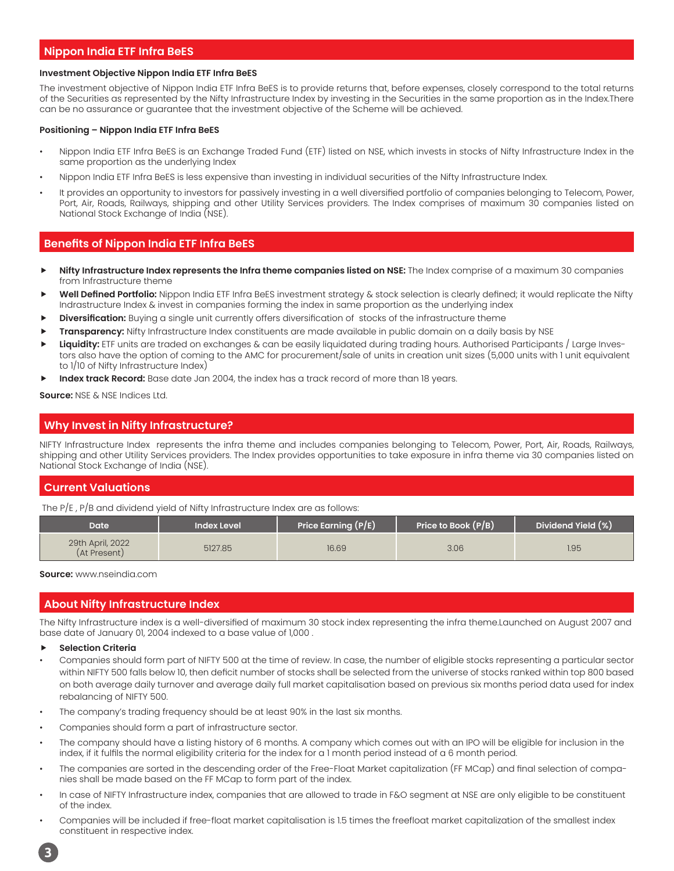# **Nippon India ETF Infra BeES**

## **Investment Objective Nippon India ETF Infra BeES**

The investment objective of Nippon India ETF Infra BeES is to provide returns that, before expenses, closely correspond to the total returns of the Securities as represented by the Nifty Infrastructure Index by investing in the Securities in the same proportion as in the Index.There can be no assurance or guarantee that the investment objective of the Scheme will be achieved.

## **Positioning – Nippon India ETF Infra BeES**

- Nippon India ETF Infra BeES is an Exchange Traded Fund (ETF) listed on NSE, which invests in stocks of Nifty Infrastructure Index in the same proportion as the underlying Index
- Nippon India ETF Infra BeES is less expensive than investing in individual securities of the Nifty Infrastructure Index.
- It provides an opportunity to investors for passively investing in a well diversified portfolio of companies belonging to Telecom, Power, Port, Air, Roads, Railways, shipping and other Utility Services providers. The Index comprises of maximum 30 companies listed on National Stock Exchange of India (NSE).

# **Benefits of Nippon India ETF Infra BeES**

- **Nifty Infrastructure Index represents the Infra theme companies listed on NSE:** The Index comprise of a maximum 30 companies from Infrastructure theme
- Well Defined Portfolio: Nippon India ETF Infra BeES investment strategy & stock selection is clearly defined; it would replicate the Nifty Indrastructure Index & invest in companies forming the index in same proportion as the underlying index
- **Diversification:** Buying a single unit currently offers diversification of stocks of the infrastructure theme
- Transparency: Nifty Infrastructure Index constituents are made available in public domain on a daily basis by NSE
- Liquidity: ETF units are traded on exchanges & can be easily liquidated during trading hours. Authorised Participants / Large Investors also have the option of coming to the AMC for procurement/sale of units in creation unit sizes (5,000 units with 1 unit equivalent to 1/10 of Nifty Infrastructure Index)
- Index track Record: Base date Jan 2004, the index has a track record of more than 18 years.

## **Source:** NSE & NSE Indices Ltd.

# **Why Invest in Nifty Infrastructure?**

NIFTY Infrastructure Index represents the infra theme and includes companies belonging to Telecom, Power, Port, Air, Roads, Railways, shipping and other Utility Services providers. The Index provides opportunities to take exposure in infra theme via 30 companies listed on National Stock Exchange of India (NSE).

# **Current Valuations**

The P/E , P/B and dividend yield of Nifty Infrastructure Index are as follows:

| Date                             | Index Level | Price Earning (P/E) | Price to Book (P/B) | Dividend Yield (%) |
|----------------------------------|-------------|---------------------|---------------------|--------------------|
| 29th April, 2022<br>(At Present) | 5127.85     | 16.69               | 3.06                | 1.95               |

#### **Source:** www.nseindia.com

# **About Nifty Infrastructure Index**

The Nifty Infrastructure index is a well-diversified of maximum 30 stock index representing the infra theme.Launched on August 2007 and base date of January 01, 2004 indexed to a base value of 1,000 .

- **Selection Criteria**
- Companies should form part of NIFTY 500 at the time of review. In case, the number of eligible stocks representing a particular sector within NIFTY 500 falls below 10, then deficit number of stocks shall be selected from the universe of stocks ranked within top 800 based on both average daily turnover and average daily full market capitalisation based on previous six months period data used for index rebalancing of NIFTY 500.
- The company's trading frequency should be at least 90% in the last six months.
- Companies should form a part of infrastructure sector.
- The company should have a listing history of 6 months. A company which comes out with an IPO will be eligible for inclusion in the index, if it fulfils the normal eligibility criteria for the index for a 1 month period instead of a 6 month period.
- The companies are sorted in the descending order of the Free-Float Market capitalization (FF MCap) and final selection of companies shall be made based on the FF MCap to form part of the index.
- In case of NIFTY Infrastructure index, companies that are allowed to trade in F&O segment at NSE are only eligible to be constituent of the index.
- Companies will be included if free-float market capitalisation is 1.5 times the freefloat market capitalization of the smallest index constituent in respective index.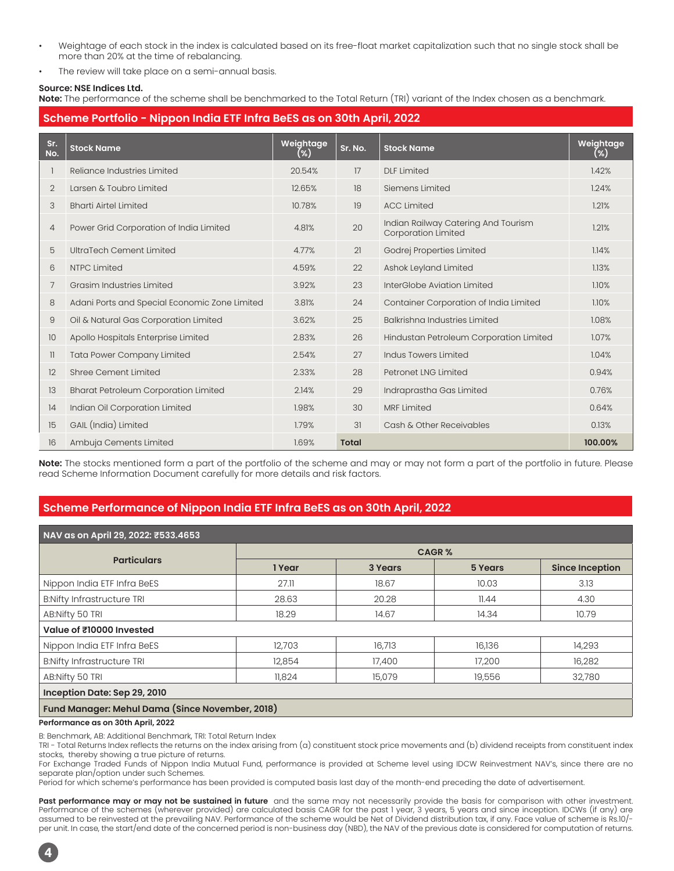- Weightage of each stock in the index is calculated based on its free-float market capitalization such that no single stock shall be more than 20% at the time of rebalancing.
- The review will take place on a semi-annual basis.

## **Source: NSE Indices Ltd.**

**Note:** The performance of the scheme shall be benchmarked to the Total Return (TRI) variant of the Index chosen as a benchmark.

|                | Scheme Portfolio - Nippon India ETF Infra BeES as on 30th April, 2022 |                  |              |                                                                   |                  |  |  |
|----------------|-----------------------------------------------------------------------|------------------|--------------|-------------------------------------------------------------------|------------------|--|--|
| Sr.<br>No.     | <b>Stock Name</b>                                                     | Weightage<br>(%) | Sr. No.      | <b>Stock Name</b>                                                 | Weightage<br>(%) |  |  |
|                | Reliance Industries Limited                                           | 20.54%           | 17           | <b>DLF Limited</b>                                                | 1.42%            |  |  |
| $\overline{2}$ | Larsen & Toubro Limited                                               | 12.65%           | 18           | Siemens Limited                                                   | 1.24%            |  |  |
| 3              | <b>Bharti Airtel Limited</b>                                          | 10.78%           | 19           | <b>ACC Limited</b>                                                | 1.21%            |  |  |
| 4              | Power Grid Corporation of India Limited                               | 4.81%            | 20           | Indian Railway Catering And Tourism<br><b>Corporation Limited</b> | 1.21%            |  |  |
| 5              | UltraTech Cement Limited                                              | 4.77%            | 21           | Godrej Properties Limited                                         | 1.14%            |  |  |
| 6              | <b>NTPC Limited</b>                                                   | 4.59%            | 22           | Ashok Leyland Limited                                             | 1.13%            |  |  |
| 7              | Grasim Industries Limited                                             | 3.92%            | 23           | InterGlobe Aviation Limited                                       | 1.10%            |  |  |
| 8              | Adani Ports and Special Economic Zone Limited                         | 3.81%            | 24           | Container Corporation of India Limited                            | 1.10%            |  |  |
| 9              | Oil & Natural Gas Corporation Limited                                 | 3.62%            | 25           | Balkrishna Industries Limited                                     | 1.08%            |  |  |
| 10             | Apollo Hospitals Enterprise Limited                                   | 2.83%            | 26           | Hindustan Petroleum Corporation Limited                           | 1.07%            |  |  |
| 11             | <b>Tata Power Company Limited</b>                                     | 2.54%            | 27           | Indus Towers Limited                                              | 1.04%            |  |  |
| 12             | Shree Cement Limited                                                  | 2.33%            | 28           | Petronet LNG Limited                                              | 0.94%            |  |  |
| 13             | <b>Bharat Petroleum Corporation Limited</b>                           | 2.14%            | 29           | Indraprastha Gas Limited                                          | 0.76%            |  |  |
| 14             | Indian Oil Corporation Limited                                        | 1.98%            | 30           | <b>MRF Limited</b>                                                | 0.64%            |  |  |
| 15             | GAIL (India) Limited                                                  | 1.79%            | 31           | Cash & Other Receivables                                          | 0.13%            |  |  |
| 16             | Ambuja Cements Limited                                                | 1.69%            | <b>Total</b> |                                                                   | 100.00%          |  |  |

**Note:** The stocks mentioned form a part of the portfolio of the scheme and may or may not form a part of the portfolio in future. Please read Scheme Information Document carefully for more details and risk factors.

# **Scheme Performance of Nippon India ETF Infra BeES as on 30th April, 2022**

| NAV as on April 29, 2022: ₹533.4653 |              |         |         |                        |  |  |  |
|-------------------------------------|--------------|---------|---------|------------------------|--|--|--|
|                                     | <b>CAGR%</b> |         |         |                        |  |  |  |
| <b>Particulars</b>                  | 1 Year       | 3 Years | 5 Years | <b>Since Inception</b> |  |  |  |
| Nippon India ETF Infra BeES         | 27.11        | 18.67   | 10.03   | 3.13                   |  |  |  |
| <b>B:Nifty Infrastructure TRI</b>   | 28.63        | 20.28   | 11.44   | 4.30                   |  |  |  |
| AB:Nifty 50 TRI                     | 18.29        | 14.67   | 14.34   | 10.79                  |  |  |  |
| Value of ₹10000 Invested            |              |         |         |                        |  |  |  |
| Nippon India ETF Infra BeES         | 12,703       | 16,713  | 16,136  | 14,293                 |  |  |  |
| <b>B:Nifty Infrastructure TRI</b>   | 12,854       | 17,400  | 17,200  | 16,282                 |  |  |  |
| AB:Nifty 50 TRI                     | 11,824       | 15,079  | 19,556  | 32,780                 |  |  |  |
| Inception Date: Sep 29, 2010        |              |         |         |                        |  |  |  |

## **Fund Manager: Mehul Dama (Since November, 2018)**

#### **Performance as on 30th April, 2022**

**4**

B: Benchmark, AB: Additional Benchmark, TRI: Total Return Index

TRI - Total Returns Index reflects the returns on the index arising from (a) constituent stock price movements and (b) dividend receipts from constituent index stocks, thereby showing a true picture of returns.

For Exchange Traded Funds of Nippon India Mutual Fund, performance is provided at Scheme level using IDCW Reinvestment NAV's, since there are no separate plan/option under such Schemes.

Period for which scheme's performance has been provided is computed basis last day of the month-end preceding the date of advertisement.

Past performance may or may not be sustained in future and the same may not necessarily provide the basis for comparison with other investment. Performance of the schemes (wherever provided) are calculated basis CAGR for the past 1 year, 3 years, 5 years and since inception. IDCWs (if any) are assumed to be reinvested at the prevailing NAV. Performance of the scheme would be Net of Dividend distribution tax, if any. Face value of scheme is Rs.10/ per unit. In case, the start/end date of the concerned period is non-business day (NBD), the NAV of the previous date is considered for computation of returns.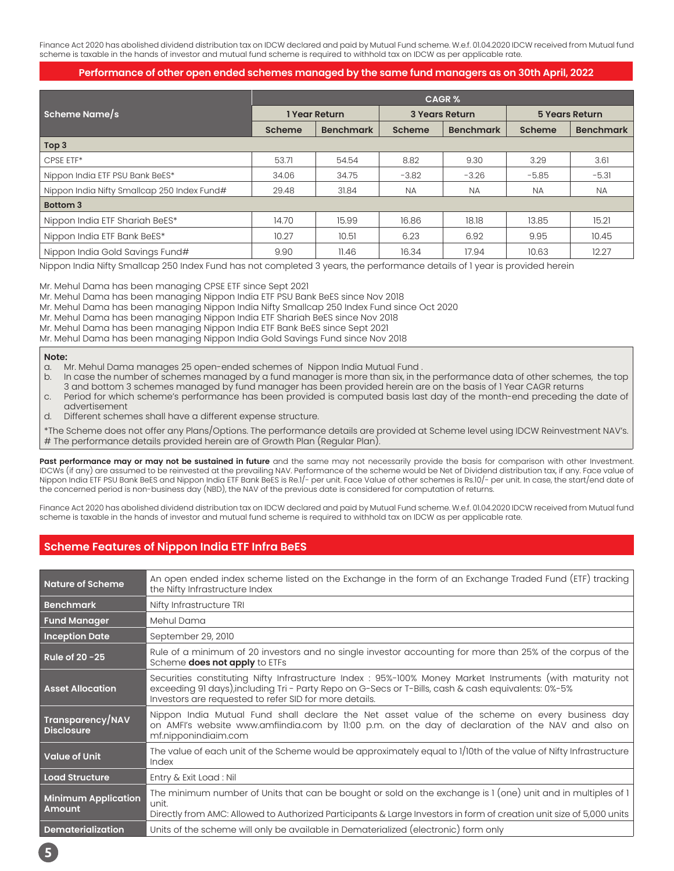Finance Act 2020 has abolished dividend distribution tax on IDCW declared and paid by Mutual Fund scheme. W.e.f. 01.04.2020 IDCW received from Mutual fund scheme is taxable in the hands of investor and mutual fund scheme is required to withhold tax on IDCW as per applicable rate.

## **Performance of other open ended schemes managed by the same fund managers as on 30th April, 2022**

|                                             | <b>CAGR%</b>  |                  |                       |                  |                       |                  |
|---------------------------------------------|---------------|------------------|-----------------------|------------------|-----------------------|------------------|
| Scheme Name/s                               | 1 Year Return |                  | <b>3 Years Return</b> |                  | <b>5 Years Return</b> |                  |
|                                             | Scheme        | <b>Benchmark</b> | Scheme                | <b>Benchmark</b> | <b>Scheme</b>         | <b>Benchmark</b> |
| Top 3                                       |               |                  |                       |                  |                       |                  |
| CPSE ETF*                                   | 53.71         | 54.54            | 8.82                  | 9.30             | 3.29                  | 3.61             |
| Nippon India ETF PSU Bank BeES*             | 34.06         | 34.75            | $-3.82$               | $-3.26$          | $-5.85$               | $-5.31$          |
| Nippon India Nifty Smallcap 250 Index Fund# | 29.48         | 31.84            | <b>NA</b>             | <b>NA</b>        | <b>NA</b>             | <b>NA</b>        |
| <b>Bottom 3</b>                             |               |                  |                       |                  |                       |                  |
| Nippon India ETF Shariah BeES*              | 14.70         | 15.99            | 16.86                 | 18.18            | 13.85                 | 15.21            |
| Nippon India ETF Bank BeES*                 | 10.27         | 10.51            | 6.23                  | 6.92             | 9.95                  | 10.45            |
| Nippon India Gold Savings Fund#             | 9.90          | 11.46            | 16.34                 | 17.94            | 10.63                 | 12.27            |

Nippon India Nifty Smallcap 250 Index Fund has not completed 3 years, the performance details of 1 year is provided herein

Mr. Mehul Dama has been managing CPSE ETF since Sept 2021

Mr. Mehul Dama has been managing Nippon India ETF PSU Bank BeES since Nov 2018

Mr. Mehul Dama has been managing Nippon India Nifty Smallcap 250 Index Fund since Oct 2020

Mr. Mehul Dama has been managing Nippon India ETF Shariah BeES since Nov 2018

Mr. Mehul Dama has been managing Nippon India ETF Bank BeES since Sept 2021

Mr. Mehul Dama has been managing Nippon India Gold Savings Fund since Nov 2018

#### **Note:**

- a. Mr. Mehul Dama manages 25 open-ended schemes of Nippon India Mutual Fund .
- b. In case the number of schemes managed by a fund manager is more than six, in the performance data of other schemes, the top 3 and bottom 3 schemes managed by fund manager has been provided herein are on the basis of 1 Year CAGR returns c. Period for which scheme's performance has been provided is computed basis last day of the month-end preceding the date of
- advertisement
- d. Different schemes shall have a different expense structure.

\*The Scheme does not offer any Plans/Options. The performance details are provided at Scheme level using IDCW Reinvestment NAV's. # The performance details provided herein are of Growth Plan (Regular Plan).

Past performance may or may not be sustained in future and the same may not necessarily provide the basis for comparison with other Investment. IDCWs (if any) are assumed to be reinvested at the prevailing NAV. Performance of the scheme would be Net of Dividend distribution tax, if any. Face value of Nippon India ETF PSU Bank BeES and Nippon India ETF Bank BeES is Re.1/- per unit. Face Value of other schemes is Rs.10/- per unit. In case, the start/end date of the concerned period is non-business day (NBD), the NAV of the previous date is considered for computation of returns.

Finance Act 2020 has abolished dividend distribution tax on IDCW declared and paid by Mutual Fund scheme. W.e.f. 01.04.2020 IDCW received from Mutual fund scheme is taxable in the hands of investor and mutual fund scheme is required to withhold tax on IDCW as per applicable rate.

# **Scheme Features of Nippon India ETF Infra BeES**

| <b>Nature of Scheme</b>                     | An open ended index scheme listed on the Exchange in the form of an Exchange Traded Fund (ETF) tracking                                                                                                                                                                    |
|---------------------------------------------|----------------------------------------------------------------------------------------------------------------------------------------------------------------------------------------------------------------------------------------------------------------------------|
|                                             | the Nifty Infrastructure Index                                                                                                                                                                                                                                             |
| <b>Benchmark</b>                            | Nifty Infrastructure TRI                                                                                                                                                                                                                                                   |
| <b>Fund Manager</b>                         | Mehul Dama                                                                                                                                                                                                                                                                 |
| <b>Inception Date</b>                       | September 29, 2010                                                                                                                                                                                                                                                         |
| Rule of $20 - 25$                           | Rule of a minimum of 20 investors and no single investor accounting for more than 25% of the corpus of the<br>Scheme does not apply to ETFs                                                                                                                                |
| <b>Asset Allocation</b>                     | Securities constituting Nifty Infrastructure Index : 95%-100% Money Market Instruments (with maturity not<br>exceeding 91 days), including Tri - Party Repo on G-Secs or T-Bills, cash & cash equivalents: 0%-5%<br>Investors are requested to refer SID for more details. |
| Transparency/NAV<br><b>Disclosure</b>       | Nippon India Mutual Fund shall declare the Net asset value of the scheme on every business day<br>on AMFI's website www.amfiindia.com by 11:00 p.m. on the day of declaration of the NAV and also on<br>mf.nipponindiaim.com                                               |
| <b>Value of Unit</b>                        | The value of each unit of the Scheme would be approximately equal to 1/10th of the value of Nifty Infrastructure<br>Index                                                                                                                                                  |
| Load Structure                              | Entry & Exit Load: Nil                                                                                                                                                                                                                                                     |
| <b>Minimum Application</b><br><b>Amount</b> | The minimum number of Units that can be bought or sold on the exchange is 1 (one) unit and in multiples of 1<br>unit.<br>Directly from AMC: Allowed to Authorized Participants & Large Investors in form of creation unit size of 5,000 units                              |
| Dematerialization                           | Units of the scheme will only be available in Dematerialized (electronic) form only                                                                                                                                                                                        |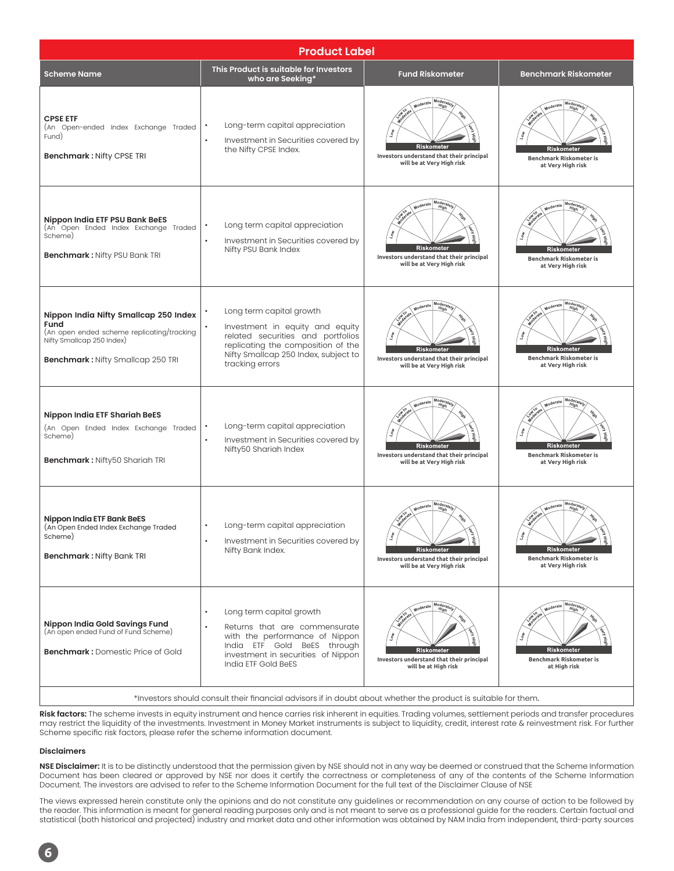| <b>Product Label</b>                                                                                                                                                 |                                                                                                                                                                                                      |                                                                                                                       |                                                                                                   |  |  |
|----------------------------------------------------------------------------------------------------------------------------------------------------------------------|------------------------------------------------------------------------------------------------------------------------------------------------------------------------------------------------------|-----------------------------------------------------------------------------------------------------------------------|---------------------------------------------------------------------------------------------------|--|--|
| <b>Scheme Name</b>                                                                                                                                                   | This Product is suitable for Investors<br>who are Seeking*                                                                                                                                           | <b>Fund Riskometer</b>                                                                                                | <b>Benchmark Riskometer</b>                                                                       |  |  |
| <b>CPSE ETF</b><br>(An Open-ended Index Exchange Traded<br>Fund)<br><b>Benchmark: Nifty CPSE TRI</b>                                                                 | Long-term capital appreciation<br>Investment in Securities covered by<br>the Nifty CPSE Index.                                                                                                       | Mode <sub>r</sub><br>Moderate<br>Riskometer<br>Investors understand that their principal<br>will be at Very High risk | Moderate<br>Riskometer<br><b>Benchmark Riskometer is</b><br>at Very High risk                     |  |  |
| Nippon India ETF PSU Bank BeES<br>(An Open Ended Index Exchange Traded<br>Scheme)<br><b>Benchmark: Nifty PSU Bank TRI</b>                                            | Long term capital appreciation<br>$\bullet$<br>Investment in Securities covered by<br>$\bullet$<br>Nifty PSU Bank Index                                                                              | Mode<br>Moderate<br>Hig<br>Riskometer<br>Investors understand that their principal<br>will be at Very High risk       | Mod <sub>6</sub><br>Moderate<br>Riskometer<br><b>Benchmark Riskometer is</b><br>at Very High risk |  |  |
| Nippon India Nifty Smallcap 250 Index<br>Fund<br>(An open ended scheme replicating/tracking<br>Nifty Smallcap 250 Index)<br><b>Benchmark: Nifty Smallcap 250 TRI</b> | Long term capital growth<br>Investment in equity and equity<br>related securities and portfolios<br>replicating the composition of the<br>Nifty Smallcap 250 Index, subject to<br>tracking errors    | Mori.<br>Moderate<br>Riskometer<br>Investors understand that their principal<br>will be at Very High risk             | Mode<br>Moderate<br><b>Riskometer</b><br>Benchmark Riskometer is<br>at Very High risk             |  |  |
| Nippon India ETF Shariah BeES<br>(An Open Ended Index Exchange Traded<br>Scheme)<br>Benchmark: Nifty50 Shariah TRI                                                   | Long-term capital appreciation<br>$\bullet$<br>Investment in Securities covered by<br>$\bullet$<br>Nifty50 Shariah Index                                                                             | Mode<br>Moderate<br>Riskometer<br>Investors understand that their principal<br>will be at Very High risk              | Mode<br>Moderate<br>Riskometer<br>Benchmark Riskometer is<br>at Very High risk                    |  |  |
| Nippon India ETF Bank BeES<br>(An Open Ended Index Exchange Traded<br>Scheme)<br><b>Benchmark: Nifty Bank TRI</b>                                                    | Long-term capital appreciation<br>Investment in Securities covered by<br>Nifty Bank Index.                                                                                                           | Mod<br>Moderate<br>Riskometer<br>Investors understand that their principal<br>will be at Very High risk               | Mode<br>Moderate<br>Riskometer<br>Benchmark Riskometer is<br>at Very High risk                    |  |  |
| Nippon India Gold Savings Fund<br>(An open ended Fund of Fund Scheme)<br><b>Benchmark: Domestic Price of Gold</b>                                                    | Long term capital growth<br>$\bullet$<br>Returns that are commensurate<br>with the performance of Nippon<br>India ETF Gold BeES through<br>investment in securities of Nippon<br>India ETF Gold BeES | Moder<br>Moderate<br>High<br>Riskometer<br>Investors understand that their principal<br>will be at High risk          | Moder<br>Higi<br>Moderate<br><b>Riskometer</b><br>Benchmark Riskometer is<br>at High risk         |  |  |
| *Investors should consult their financial advisors if in doubt about whether the product is suitable for them.                                                       |                                                                                                                                                                                                      |                                                                                                                       |                                                                                                   |  |  |

**Risk factors:** The scheme invests in equity instrument and hence carries risk inherent in equities. Trading volumes, settlement periods and transfer procedures may restrict the liquidity of the investments. Investment in Money Market instruments is subject to liquidity, credit, interest rate & reinvestment risk. For further Scheme specific risk factors, please refer the scheme information document.

#### **Disclaimers**

**NSE Disclaimer:** It is to be distinctly understood that the permission given by NSE should not in any way be deemed or construed that the Scheme Information Document has been cleared or approved by NSE nor does it certify the correctness or completeness of any of the contents of the Scheme Information Document. The investors are advised to refer to the Scheme Information Document for the full text of the Disclaimer Clause of NSE

The views expressed herein constitute only the opinions and do not constitute any guidelines or recommendation on any course of action to be followed by the reader. This information is meant for general reading purposes only and is not meant to serve as a professional guide for the readers. Certain factual and statistical (both historical and projected) industry and market data and other information was obtained by NAM India from independent, third-party sources